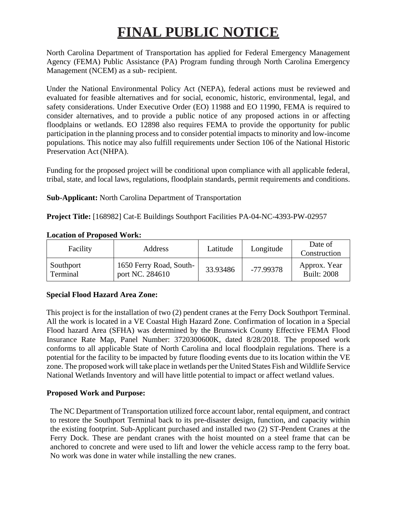# **FINAL PUBLIC NOTICE**

North Carolina Department of Transportation has applied for Federal Emergency Management Agency (FEMA) Public Assistance (PA) Program funding through North Carolina Emergency Management (NCEM) as a sub- recipient.

Under the National Environmental Policy Act (NEPA), federal actions must be reviewed and evaluated for feasible alternatives and for social, economic, historic, environmental, legal, and safety considerations. Under Executive Order (EO) 11988 and EO 11990, FEMA is required to consider alternatives, and to provide a public notice of any proposed actions in or affecting floodplains or wetlands. EO 12898 also requires FEMA to provide the opportunity for public participation in the planning process and to consider potential impacts to minority and low-income populations. This notice may also fulfill requirements under Section 106 of the National Historic Preservation Act (NHPA).

Funding for the proposed project will be conditional upon compliance with all applicable federal, tribal, state, and local laws, regulations, floodplain standards, permit requirements and conditions.

**Sub-Applicant:** North Carolina Department of Transportation

**Project Title:** [168982] Cat-E Buildings Southport Facilities PA-04-NC-4393-PW-02957

| Facility              | Address                                    | Latitude | Longitude | Date of<br>Construction            |
|-----------------------|--------------------------------------------|----------|-----------|------------------------------------|
| Southport<br>Terminal | 1650 Ferry Road, South-<br>port NC. 284610 | 33.93486 | -77.99378 | Approx. Year<br><b>Built: 2008</b> |

## **Location of Proposed Work:**

# **Special Flood Hazard Area Zone:**

This project is for the installation of two (2) pendent cranes at the Ferry Dock Southport Terminal. All the work is located in a VE Coastal High Hazard Zone. Confirmation of location in a Special Flood hazard Area (SFHA) was determined by the Brunswick County Effective FEMA Flood Insurance Rate Map, Panel Number: 3720300600K, dated 8/28/2018. The proposed work conforms to all applicable State of North Carolina and local floodplain regulations. There is a potential for the facility to be impacted by future flooding events due to its location within the VE zone. The proposed work will take place in wetlands per the United States Fish and Wildlife Service National Wetlands Inventory and will have little potential to impact or affect wetland values.

# **Proposed Work and Purpose:**

The NC Department of Transportation utilized force account labor, rental equipment, and contract to restore the Southport Terminal back to its pre-disaster design, function, and capacity within the existing footprint. Sub-Applicant purchased and installed two (2) ST-Pendent Cranes at the Ferry Dock. These are pendant cranes with the hoist mounted on a steel frame that can be anchored to concrete and were used to lift and lower the vehicle access ramp to the ferry boat. No work was done in water while installing the new cranes.